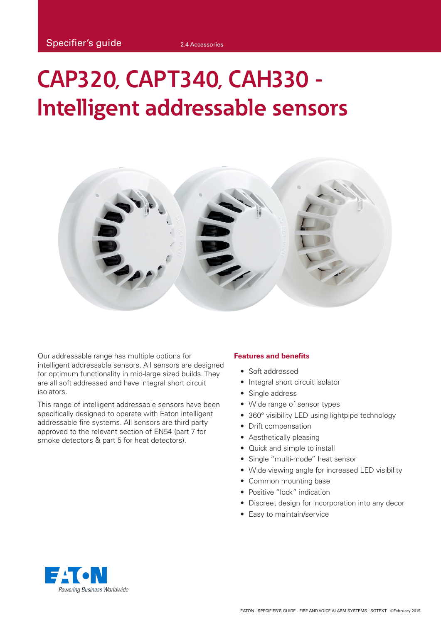# **CAP320, CAPT340, CAH330 - Intelligent addressable sensors**



Our addressable range has multiple options for intelligent addressable sensors. All sensors are designed for optimum functionality in mid-large sized builds. They are all soft addressed and have integral short circuit isolators.

This range of intelligent addressable sensors have been specifically designed to operate with Eaton intelligent addressable fire systems. All sensors are third party approved to the relevant section of EN54 (part 7 for smoke detectors & part 5 for heat detectors).

#### **Features and benefits**

- Soft addressed
- Integral short circuit isolator
- Single address
- Wide range of sensor types
- 360° visibility LED using lightpipe technology
- Drift compensation
- Aesthetically pleasing
- Quick and simple to install
- Single "multi-mode" heat sensor
- Wide viewing angle for increased LED visibility
- Common mounting base
- Positive "lock" indication
- Discreet design for incorporation into any decor
- Easy to maintain/service